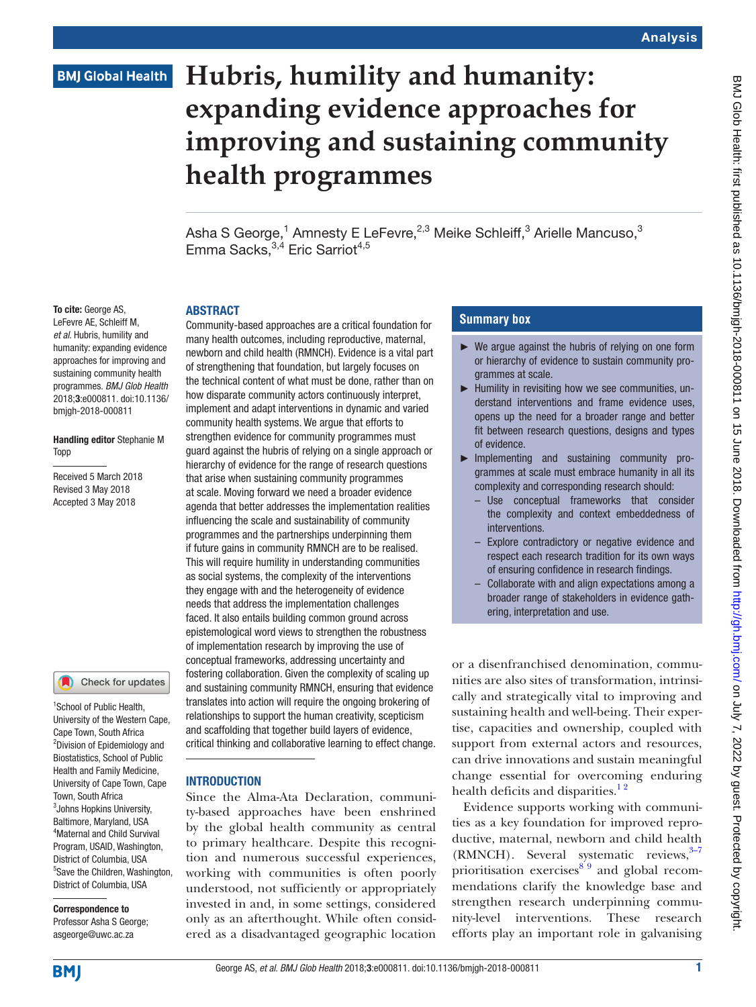### **BMJ Global Health**

# **Hubris, humility and humanity: expanding evidence approaches for improving and sustaining community health programmes**

Asha S George, $^1$  Amnesty E LeFevre, $^{2,3}$  Meike Schleiff, $^3$  Arielle Mancuso, $^3$ Emma Sacks, <sup>3,4</sup> Eric Sarriot<sup>4,5</sup>

## **ARSTRACT**

To cite: George AS, LeFevre AE, Schleiff M, *et al*. Hubris, humility and humanity: expanding evidence approaches for improving and sustaining community health programmes. *BMJ Glob Health* 2018;3:e000811. doi:10.1136/ bmjgh-2018-000811

#### Handling editor Stephanie M Topp

Received 5 March 2018 Revised 3 May 2018 Accepted 3 May 2018



<sup>1</sup>School of Public Health, University of the Western Cape, Cape Town, South Africa <sup>2</sup>Division of Epidemiology and Biostatistics, School of Public Health and Family Medicine, University of Cape Town, Cape Town, South Africa <sup>3</sup> Johns Hopkins University, Baltimore, Maryland, USA 4 Maternal and Child Survival Program, USAID, Washington, District of Columbia, USA 5 Save the Children, Washington, District of Columbia, USA

Correspondence to Professor Asha S George; asgeorge@uwc.ac.za

Community-based approaches are a critical foundation for many health outcomes, including reproductive, maternal, newborn and child health (RMNCH). Evidence is a vital part of strengthening that foundation, but largely focuses on the technical content of what must be done, rather than on how disparate community actors continuously interpret, implement and adapt interventions in dynamic and varied community health systems. We argue that efforts to strengthen evidence for community programmes must guard against the hubris of relying on a single approach or hierarchy of evidence for the range of research questions that arise when sustaining community programmes at scale. Moving forward we need a broader evidence agenda that better addresses the implementation realities influencing the scale and sustainability of community programmes and the partnerships underpinning them if future gains in community RMNCH are to be realised. This will require humility in understanding communities as social systems, the complexity of the interventions they engage with and the heterogeneity of evidence needs that address the implementation challenges faced. It also entails building common ground across epistemological word views to strengthen the robustness of implementation research by improving the use of conceptual frameworks, addressing uncertainty and fostering collaboration. Given the complexity of scaling up and sustaining community RMNCH, ensuring that evidence translates into action will require the ongoing brokering of relationships to support the human creativity, scepticism and scaffolding that together build layers of evidence, critical thinking and collaborative learning to effect change.

#### **INTRODUCTION**

Since the Alma-Ata Declaration, community-based approaches have been enshrined by the global health community as central to primary healthcare. Despite this recognition and numerous successful experiences, working with communities is often poorly understood, not sufficiently or appropriately invested in and, in some settings, considered only as an afterthought. While often considered as a disadvantaged geographic location

### **Summary box**

- ► We argue against the hubris of relying on one form or hierarchy of evidence to sustain community programmes at scale.
- ► Humility in revisiting how we see communities, understand interventions and frame evidence uses, opens up the need for a broader range and better fit between research questions, designs and types of evidence.
- ► Implementing and sustaining community programmes at scale must embrace humanity in all its complexity and corresponding research should:
	- Use conceptual frameworks that consider the complexity and context embeddedness of interventions.
	- Explore contradictory or negative evidence and respect each research tradition for its own ways of ensuring confidence in research findings.
	- Collaborate with and align expectations among a broader range of stakeholders in evidence gathering, interpretation and use.

or a disenfranchised denomination, communities are also sites of transformation, intrinsically and strategically vital to improving and sustaining health and well-being. Their expertise, capacities and ownership, coupled with support from external actors and resources, can drive innovations and sustain meaningful change essential for overcoming enduring health deficits and disparities.<sup>12</sup>

Evidence supports working with communities as a key foundation for improved reproductive, maternal, newborn and child health (RMNCH). Several systematic reviews, $3-7$ prioritisation exercises $89$  and global recommendations clarify the knowledge base and strengthen research underpinning community-level interventions. These research efforts play an important role in galvanising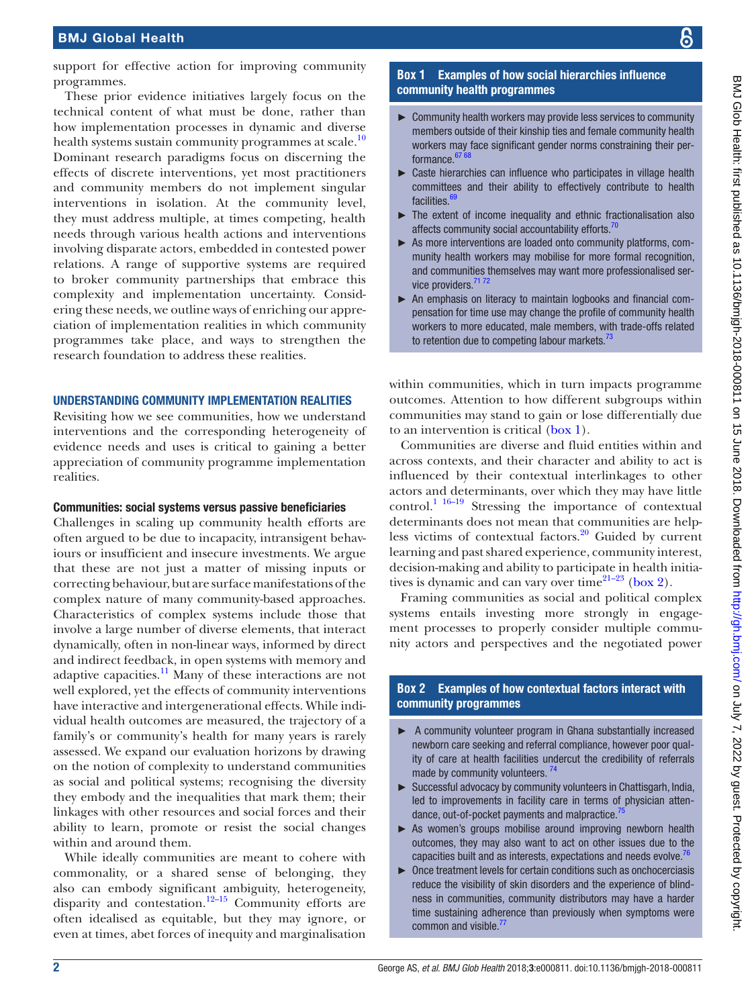support for effective action for improving community programmes.

These prior evidence initiatives largely focus on the technical content of what must be done, rather than how implementation processes in dynamic and diverse health systems sustain community programmes at scale.<sup>10</sup> Dominant research paradigms focus on discerning the effects of discrete interventions, yet most practitioners and community members do not implement singular interventions in isolation. At the community level, they must address multiple, at times competing, health needs through various health actions and interventions involving disparate actors, embedded in contested power relations. A range of supportive systems are required to broker community partnerships that embrace this complexity and implementation uncertainty. Considering these needs, we outline ways of enriching our appreciation of implementation realities in which community programmes take place, and ways to strengthen the research foundation to address these realities.

#### Understanding community implementation realities

Revisiting how we see communities, how we understand interventions and the corresponding heterogeneity of evidence needs and uses is critical to gaining a better appreciation of community programme implementation realities.

#### Communities: social systems versus passive beneficiaries

Challenges in scaling up community health efforts are often argued to be due to incapacity, intransigent behaviours or insufficient and insecure investments. We argue that these are not just a matter of missing inputs or correcting behaviour, but are surface manifestations of the complex nature of many community-based approaches. Characteristics of complex systems include those that involve a large number of diverse elements, that interact dynamically, often in non-linear ways, informed by direct and indirect feedback, in open systems with memory and adaptive capacities.<sup>[11](#page-7-4)</sup> Many of these interactions are not well explored, yet the effects of community interventions have interactive and intergenerational effects. While individual health outcomes are measured, the trajectory of a family's or community's health for many years is rarely assessed. We expand our evaluation horizons by drawing on the notion of complexity to understand communities as social and political systems; recognising the diversity they embody and the inequalities that mark them; their linkages with other resources and social forces and their ability to learn, promote or resist the social changes within and around them.

While ideally communities are meant to cohere with commonality, or a shared sense of belonging, they also can embody significant ambiguity, heterogeneity, disparity and contestation.<sup>12–15</sup> Community efforts are often idealised as equitable, but they may ignore, or even at times, abet forces of inequity and marginalisation

### **Box 1** Examples of how social hierarchies influence community health programmes

- <span id="page-1-0"></span>► Community health workers may provide less services to community members outside of their kinship ties and female community health workers may face significant gender norms constraining their performance. $67$
- ► Caste hierarchies can influence who participates in village health committees and their ability to effectively contribute to health facilities.<sup>6</sup>
- ► The extent of income inequality and ethnic fractionalisation also affects community social accountability efforts.<sup>[70](#page-8-2)</sup>
- ► As more interventions are loaded onto community platforms, community health workers may mobilise for more formal recognition, and communities themselves may want more professionalised service providers.<sup>71</sup>72
- ► An emphasis on literacy to maintain logbooks and financial compensation for time use may change the profile of community health workers to more educated, male members, with trade-offs related to retention due to competing labour markets. $73$

within communities, which in turn impacts programme outcomes. Attention to how different subgroups within communities may stand to gain or lose differentially due to an intervention is critical ([box](#page-1-0) 1).

Communities are diverse and fluid entities within and across contexts, and their character and ability to act is influenced by their contextual interlinkages to other actors and determinants, over which they may have little control.<sup>1 16-19</sup> Stressing the importance of contextual determinants does not mean that communities are helpless victims of contextual factors.<sup>20</sup> Guided by current learning and past shared experience, community interest, decision-making and ability to participate in health initiatives is dynamic and can vary over time<sup>21-23</sup> ([box](#page-1-1) 2).

Framing communities as social and political complex systems entails investing more strongly in engagement processes to properly consider multiple community actors and perspectives and the negotiated power

#### **Box 2** Examples of how contextual factors interact with community programmes

- <span id="page-1-1"></span>► A community volunteer program in Ghana substantially increased newborn care seeking and referral compliance, however poor quality of care at health facilities undercut the credibility of referrals made by community volunteers.<sup>[74](#page-8-5)</sup>
- ► Successful advocacy by community volunteers in Chattisgarh, India, led to improvements in facility care in terms of physician atten-dance, out-of-pocket payments and malpractice.<sup>[75](#page-8-6)</sup>
- ► As women's groups mobilise around improving newborn health outcomes, they may also want to act on other issues due to the capacities built and as interests, expectations and needs evolve. $76$
- ► Once treatment levels for certain conditions such as onchocerciasis reduce the visibility of skin disorders and the experience of blindness in communities, community distributors may have a harder time sustaining adherence than previously when symptoms were common and visible.<sup>[77](#page-8-8)</sup>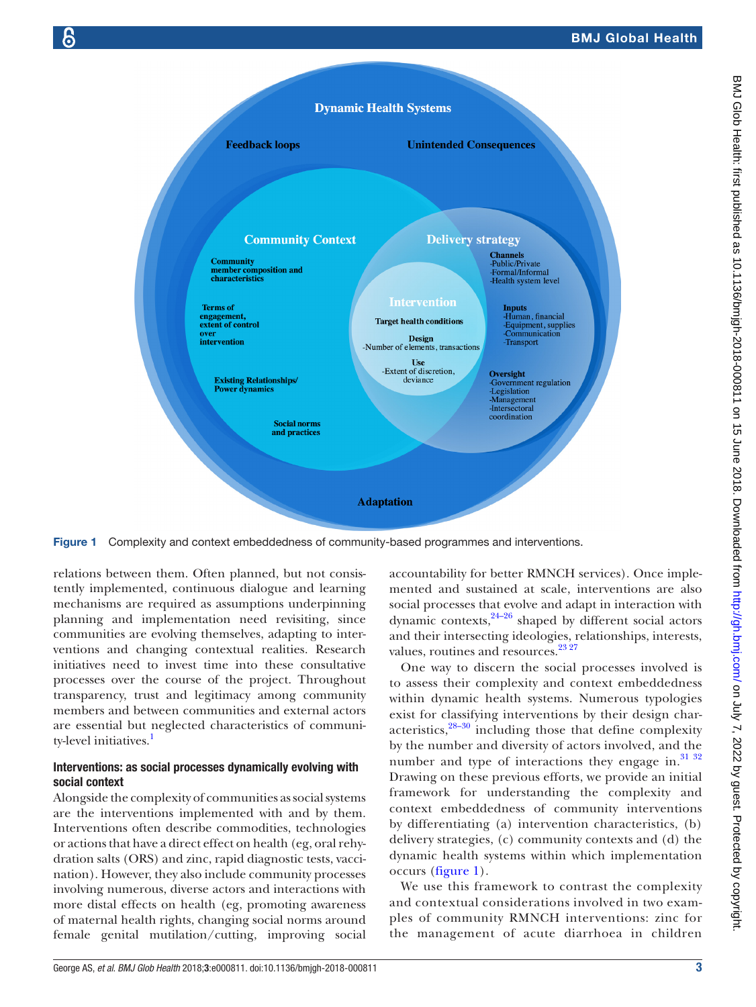

<span id="page-2-0"></span>Figure 1 Complexity and context embeddedness of community-based programmes and interventions.

relations between them. Often planned, but not consistently implemented, continuous dialogue and learning mechanisms are required as assumptions underpinning planning and implementation need revisiting, since communities are evolving themselves, adapting to interventions and changing contextual realities. Research initiatives need to invest time into these consultative processes over the course of the project. Throughout transparency, trust and legitimacy among community members and between communities and external actors are essential but neglected characteristics of community-level initiatives.<sup>1</sup>

#### Interventions: as social processes dynamically evolving with social context

Alongside the complexity of communities as social systems are the interventions implemented with and by them. Interventions often describe commodities, technologies or actions that have a direct effect on health (eg, oral rehydration salts (ORS) and zinc, rapid diagnostic tests, vaccination). However, they also include community processes involving numerous, diverse actors and interactions with more distal effects on health (eg, promoting awareness of maternal health rights, changing social norms around female genital mutilation/cutting, improving social

accountability for better RMNCH services). Once implemented and sustained at scale, interventions are also social processes that evolve and adapt in interaction with dynamic contexts,  $24-26$  shaped by different social actors and their intersecting ideologies, relationships, interests, values, routines and resources.<sup>23, 27</sup>

One way to discern the social processes involved is to assess their complexity and context embeddedness within dynamic health systems. Numerous typologies exist for classifying interventions by their design characteristics, $28-30$  including those that define complexity by the number and diversity of actors involved, and the number and type of interactions they engage in. $3132$ Drawing on these previous efforts, we provide an initial framework for understanding the complexity and context embeddedness of community interventions by differentiating (a) intervention characteristics, (b) delivery strategies, (c) community contexts and (d) the dynamic health systems within which implementation occurs [\(figure](#page-2-0) 1).

We use this framework to contrast the complexity and contextual considerations involved in two examples of community RMNCH interventions: zinc for the management of acute diarrhoea in children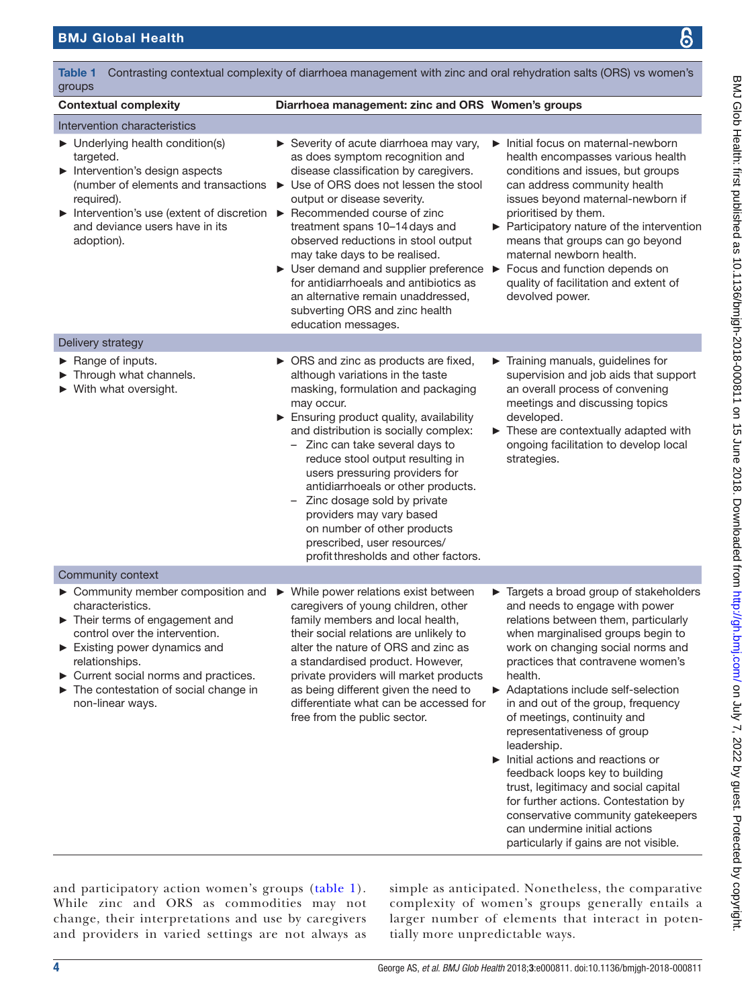<span id="page-3-0"></span>

| Table 1 Contrasting contextual complexity of diarrhoea management with zinc and oral rehydration salts (ORS) vs women's<br>groups                                                                                                                                                                                             |                                                                                                                                                                                                                                                                                                                                                                                                                                                                                                                                                        |                                                                                                                                                                                                                                                                                                                                                                                                                                                                                                                                                                                                                                                       |
|-------------------------------------------------------------------------------------------------------------------------------------------------------------------------------------------------------------------------------------------------------------------------------------------------------------------------------|--------------------------------------------------------------------------------------------------------------------------------------------------------------------------------------------------------------------------------------------------------------------------------------------------------------------------------------------------------------------------------------------------------------------------------------------------------------------------------------------------------------------------------------------------------|-------------------------------------------------------------------------------------------------------------------------------------------------------------------------------------------------------------------------------------------------------------------------------------------------------------------------------------------------------------------------------------------------------------------------------------------------------------------------------------------------------------------------------------------------------------------------------------------------------------------------------------------------------|
| <b>Contextual complexity</b>                                                                                                                                                                                                                                                                                                  | Diarrhoea management: zinc and ORS Women's groups                                                                                                                                                                                                                                                                                                                                                                                                                                                                                                      |                                                                                                                                                                                                                                                                                                                                                                                                                                                                                                                                                                                                                                                       |
| Intervention characteristics                                                                                                                                                                                                                                                                                                  |                                                                                                                                                                                                                                                                                                                                                                                                                                                                                                                                                        |                                                                                                                                                                                                                                                                                                                                                                                                                                                                                                                                                                                                                                                       |
| • Underlying health condition(s)<br>targeted.<br>Intervention's design aspects<br>(number of elements and transactions<br>required).<br>Intervention's use (extent of discretion > Recommended course of zinc<br>and deviance users have in its<br>adoption).                                                                 | Severity of acute diarrhoea may vary,<br>as does symptom recognition and<br>disease classification by caregivers.<br>► Use of ORS does not lessen the stool<br>output or disease severity.<br>treatment spans 10-14 days and<br>observed reductions in stool output<br>may take days to be realised.<br>► User demand and supplier preference ► Focus and function depends on<br>for antidiarrhoeals and antibiotics as<br>an alternative remain unaddressed,<br>subverting ORS and zinc health<br>education messages.                                 | Initial focus on maternal-newborn<br>health encompasses various health<br>conditions and issues, but groups<br>can address community health<br>issues beyond maternal-newborn if<br>prioritised by them.<br>▶ Participatory nature of the intervention<br>means that groups can go beyond<br>maternal newborn health.<br>quality of facilitation and extent of<br>devolved power.                                                                                                                                                                                                                                                                     |
| Delivery strategy                                                                                                                                                                                                                                                                                                             |                                                                                                                                                                                                                                                                                                                                                                                                                                                                                                                                                        |                                                                                                                                                                                                                                                                                                                                                                                                                                                                                                                                                                                                                                                       |
| $\blacktriangleright$ Range of inputs.<br>Through what channels.<br>$\triangleright$ With what oversight.                                                                                                                                                                                                                     | ▶ ORS and zinc as products are fixed,<br>although variations in the taste<br>masking, formulation and packaging<br>may occur.<br>$\blacktriangleright$ Ensuring product quality, availability<br>and distribution is socially complex:<br>- Zinc can take several days to<br>reduce stool output resulting in<br>users pressuring providers for<br>antidiarrhoeals or other products.<br>Zinc dosage sold by private<br>providers may vary based<br>on number of other products<br>prescribed, user resources/<br>profit thresholds and other factors. | Training manuals, guidelines for<br>supervision and job aids that support<br>an overall process of convening<br>meetings and discussing topics<br>developed.<br>These are contextually adapted with<br>ongoing facilitation to develop local<br>strategies.                                                                                                                                                                                                                                                                                                                                                                                           |
| Community context<br>► Community member composition and<br>characteristics.<br>Their terms of engagement and<br>control over the intervention.<br>$\blacktriangleright$ Existing power dynamics and<br>relationships.<br>Current social norms and practices.<br>▶<br>The contestation of social change in<br>non-linear ways. | $\triangleright$ While power relations exist between<br>caregivers of young children, other<br>family members and local health,<br>their social relations are unlikely to<br>alter the nature of ORS and zinc as<br>a standardised product. However,<br>private providers will market products<br>as being different given the need to<br>differentiate what can be accessed for<br>free from the public sector.                                                                                                                                       | Targets a broad group of stakeholders<br>and needs to engage with power<br>relations between them, particularly<br>when marginalised groups begin to<br>work on changing social norms and<br>practices that contravene women's<br>health.<br>Adaptations include self-selection<br>in and out of the group, frequency<br>of meetings, continuity and<br>representativeness of group<br>leadership.<br>$\blacktriangleright$ Initial actions and reactions or<br>feedback loops key to building<br>trust, legitimacy and social capital<br>for further actions. Contestation by<br>conservative community gatekeepers<br>can undermine initial actions |

particularly if gains are not visible.

and participatory action women's groups ([table](#page-3-0) 1). While zinc and ORS as commodities may not change, their interpretations and use by caregivers and providers in varied settings are not always as

simple as anticipated. Nonetheless, the comparative complexity of women's groups generally entails a larger number of elements that interact in potentially more unpredictable ways.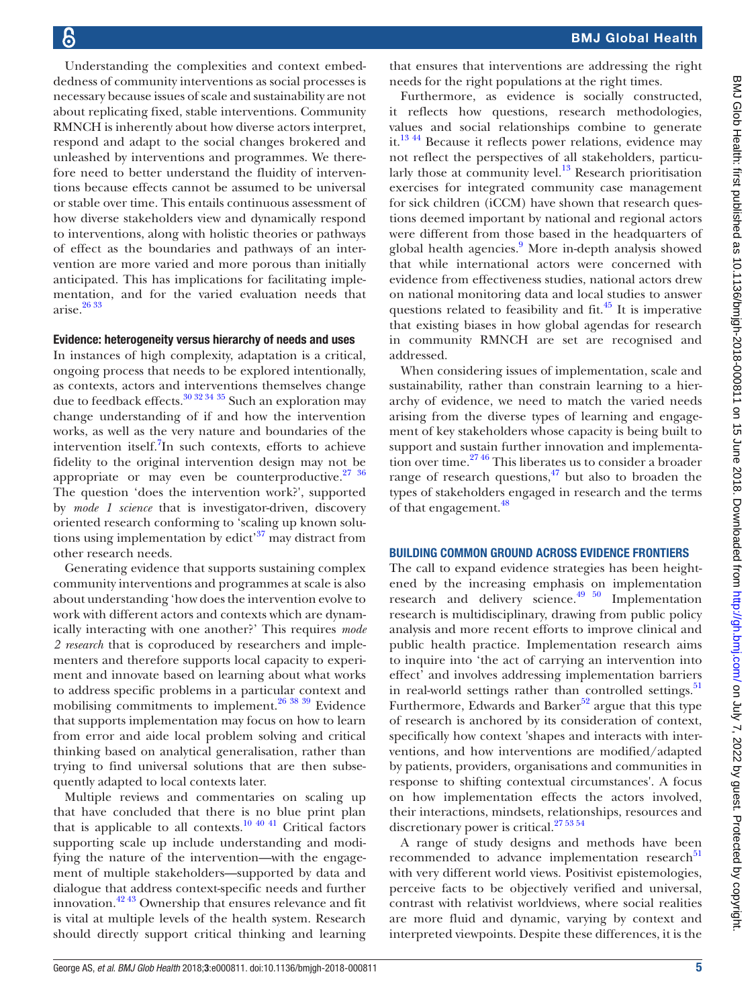Understanding the complexities and context embeddedness of community interventions as social processes is necessary because issues of scale and sustainability are not about replicating fixed, stable interventions. Community RMNCH is inherently about how diverse actors interpret, respond and adapt to the social changes brokered and unleashed by interventions and programmes. We therefore need to better understand the fluidity of interventions because effects cannot be assumed to be universal or stable over time. This entails continuous assessment of how diverse stakeholders view and dynamically respond to interventions, along with holistic theories or pathways of effect as the boundaries and pathways of an intervention are more varied and more porous than initially anticipated. This has implications for facilitating implementation, and for the varied evaluation needs that arise. $2633$ 

#### Evidence: heterogeneity versus hierarchy of needs and uses

In instances of high complexity, adaptation is a critical, ongoing process that needs to be explored intentionally, as contexts, actors and interventions themselves change due to feedback effects.<sup>30 32 34</sup> <sup>35</sup> Such an exploration may change understanding of if and how the intervention works, as well as the very nature and boundaries of the intervention itself.<sup>[7](#page-7-15)</sup>In such contexts, efforts to achieve fidelity to the original intervention design may not be appropriate or may even be counterproductive. $27 \frac{36}{5}$ The question 'does the intervention work?', supported by *mode 1 science* that is investigator-driven, discovery oriented research conforming to 'scaling up known solu-tions using implementation by edict<sup>[37](#page-7-17)</sup> may distract from other research needs.

Generating evidence that supports sustaining complex community interventions and programmes at scale is also about understanding 'how does the intervention evolve to work with different actors and contexts which are dynamically interacting with one another?' This requires *mode 2 research* that is coproduced by researchers and implementers and therefore supports local capacity to experiment and innovate based on learning about what works to address specific problems in a particular context and mobilising commitments to implement.[26 38 39](#page-7-12) Evidence that supports implementation may focus on how to learn from error and aide local problem solving and critical thinking based on analytical generalisation, rather than trying to find universal solutions that are then subsequently adapted to local contexts later.

Multiple reviews and commentaries on scaling up that have concluded that there is no blue print plan that is applicable to all contexts.<sup>[10 40 41](#page-7-3)</sup> Critical factors supporting scale up include understanding and modifying the nature of the intervention—with the engagement of multiple stakeholders—supported by data and dialogue that address context-specific needs and further innovation.[42 43](#page-8-9) Ownership that ensures relevance and fit is vital at multiple levels of the health system. Research should directly support critical thinking and learning

that ensures that interventions are addressing the right needs for the right populations at the right times.

Furthermore, as evidence is socially constructed, it reflects how questions, research methodologies, values and social relationships combine to generate it.<sup>13 44</sup> Because it reflects power relations, evidence may not reflect the perspectives of all stakeholders, particularly those at community level. $^{13}$  Research prioritisation exercises for integrated community case management for sick children (iCCM) have shown that research questions deemed important by national and regional actors were different from those based in the headquarters of global health agencies.<sup>[9](#page-7-19)</sup> More in-depth analysis showed that while international actors were concerned with evidence from effectiveness studies, national actors drew on national monitoring data and local studies to answer questions related to feasibility and fit. $45$  It is imperative that existing biases in how global agendas for research in community RMNCH are set are recognised and addressed.

When considering issues of implementation, scale and sustainability, rather than constrain learning to a hierarchy of evidence, we need to match the varied needs arising from the diverse types of learning and engagement of key stakeholders whose capacity is being built to support and sustain further innovation and implementation over time. $2746$  This liberates us to consider a broader range of research questions, $47$  but also to broaden the types of stakeholders engaged in research and the terms of that engagement.<sup>[48](#page-8-12)</sup>

#### Building common ground across evidence frontiers

The call to expand evidence strategies has been heightened by the increasing emphasis on implementation research and delivery science.<sup>49 50</sup> Implementation research is multidisciplinary, drawing from public policy analysis and more recent efforts to improve clinical and public health practice. Implementation research aims to inquire into 'the act of carrying an intervention into effect' and involves addressing implementation barriers in real-world settings rather than controlled settings.<sup>[51](#page-8-14)</sup> Furthermore, Edwards and Barker $52$  argue that this type of research is anchored by its consideration of context, specifically how context 'shapes and interacts with interventions, and how interventions are modified/adapted by patients, providers, organisations and communities in response to shifting contextual circumstances'. A focus on how implementation effects the actors involved, their interactions, mindsets, relationships, resources and discretionary power is critical.[27 53 54](#page-7-16)

A range of study designs and methods have been recommended to advance implementation research<sup>[51](#page-8-14)</sup> with very different world views. Positivist epistemologies, perceive facts to be objectively verified and universal, contrast with relativist worldviews, where social realities are more fluid and dynamic, varying by context and interpreted viewpoints. Despite these differences, it is the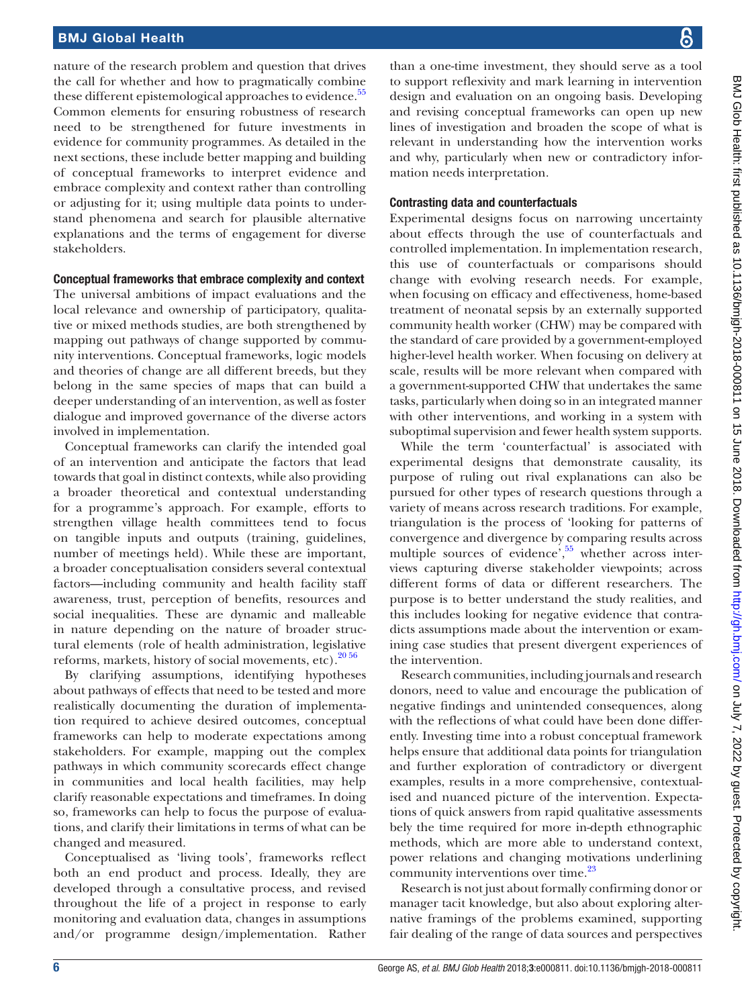nature of the research problem and question that drives the call for whether and how to pragmatically combine these different epistemological approaches to evidence.<sup>[55](#page-8-16)</sup> Common elements for ensuring robustness of research need to be strengthened for future investments in evidence for community programmes. As detailed in the next sections, these include better mapping and building of conceptual frameworks to interpret evidence and embrace complexity and context rather than controlling or adjusting for it; using multiple data points to understand phenomena and search for plausible alternative explanations and the terms of engagement for diverse stakeholders.

#### Conceptual frameworks that embrace complexity and context

The universal ambitions of impact evaluations and the local relevance and ownership of participatory, qualitative or mixed methods studies, are both strengthened by mapping out pathways of change supported by community interventions. Conceptual frameworks, logic models and theories of change are all different breeds, but they belong in the same species of maps that can build a deeper understanding of an intervention, as well as foster dialogue and improved governance of the diverse actors involved in implementation.

Conceptual frameworks can clarify the intended goal of an intervention and anticipate the factors that lead towards that goal in distinct contexts, while also providing a broader theoretical and contextual understanding for a programme's approach. For example, efforts to strengthen village health committees tend to focus on tangible inputs and outputs (training, guidelines, number of meetings held). While these are important, a broader conceptualisation considers several contextual factors—including community and health facility staff awareness, trust, perception of benefits, resources and social inequalities. These are dynamic and malleable in nature depending on the nature of broader structural elements (role of health administration, legislative reforms, markets, history of social movements, etc).[20 56](#page-7-6)

By clarifying assumptions, identifying hypotheses about pathways of effects that need to be tested and more realistically documenting the duration of implementation required to achieve desired outcomes, conceptual frameworks can help to moderate expectations among stakeholders. For example, mapping out the complex pathways in which community scorecards effect change in communities and local health facilities, may help clarify reasonable expectations and timeframes. In doing so, frameworks can help to focus the purpose of evaluations, and clarify their limitations in terms of what can be changed and measured.

Conceptualised as 'living tools', frameworks reflect both an end product and process. Ideally, they are developed through a consultative process, and revised throughout the life of a project in response to early monitoring and evaluation data, changes in assumptions and/or programme design/implementation. Rather

than a one-time investment, they should serve as a tool to support reflexivity and mark learning in intervention design and evaluation on an ongoing basis. Developing and revising conceptual frameworks can open up new lines of investigation and broaden the scope of what is relevant in understanding how the intervention works and why, particularly when new or contradictory information needs interpretation.

#### Contrasting data and counterfactuals

Experimental designs focus on narrowing uncertainty about effects through the use of counterfactuals and controlled implementation. In implementation research, this use of counterfactuals or comparisons should change with evolving research needs. For example, when focusing on efficacy and effectiveness, home-based treatment of neonatal sepsis by an externally supported community health worker (CHW) may be compared with the standard of care provided by a government-employed higher-level health worker. When focusing on delivery at scale, results will be more relevant when compared with a government-supported CHW that undertakes the same tasks, particularly when doing so in an integrated manner with other interventions, and working in a system with suboptimal supervision and fewer health system supports.

While the term 'counterfactual' is associated with experimental designs that demonstrate causality, its purpose of ruling out rival explanations can also be pursued for other types of research questions through a variety of means across research traditions. For example, triangulation is the process of 'looking for patterns of convergence and divergence by comparing results across multiple sources of evidence', $55$  whether across interviews capturing diverse stakeholder viewpoints; across different forms of data or different researchers. The purpose is to better understand the study realities, and this includes looking for negative evidence that contradicts assumptions made about the intervention or examining case studies that present divergent experiences of the intervention.

Research communities, including journals and research donors, need to value and encourage the publication of negative findings and unintended consequences, along with the reflections of what could have been done differently. Investing time into a robust conceptual framework helps ensure that additional data points for triangulation and further exploration of contradictory or divergent examples, results in a more comprehensive, contextualised and nuanced picture of the intervention. Expectations of quick answers from rapid qualitative assessments bely the time required for more in-depth ethnographic methods, which are more able to understand context, power relations and changing motivations underlining community interventions over time.<sup>[23](#page-7-9)</sup>

Research is not just about formally confirming donor or manager tacit knowledge, but also about exploring alternative framings of the problems examined, supporting fair dealing of the range of data sources and perspectives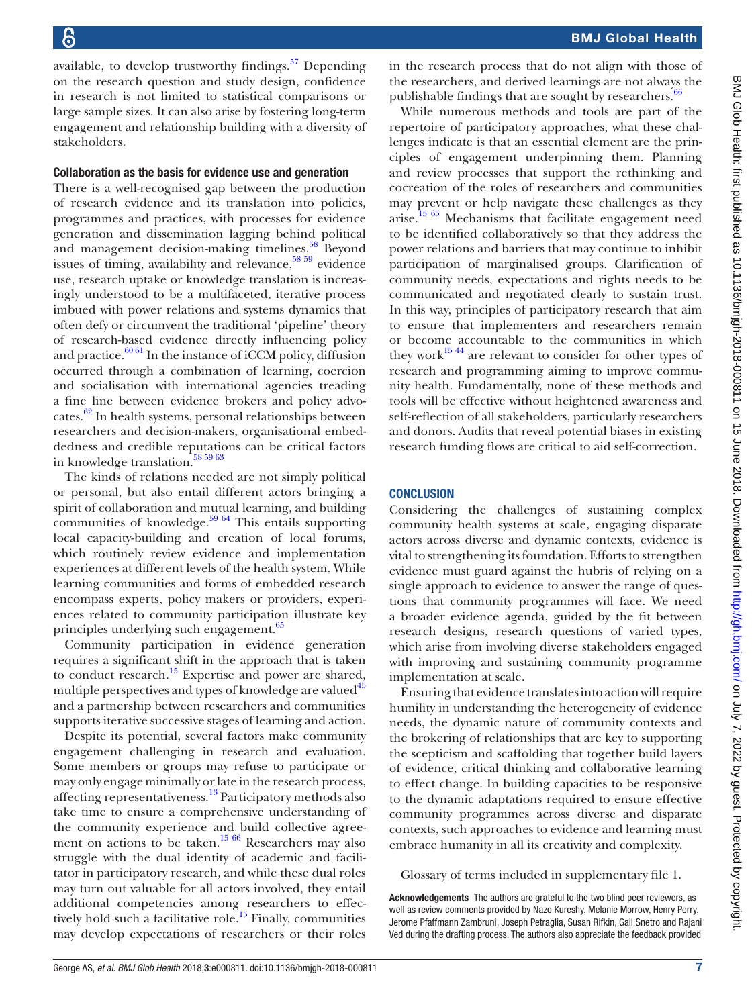available, to develop trustworthy findings.<sup>57</sup> Depending on the research question and study design, confidence in research is not limited to statistical comparisons or large sample sizes. It can also arise by fostering long-term engagement and relationship building with a diversity of stakeholders.

#### Collaboration as the basis for evidence use and generation

There is a well-recognised gap between the production of research evidence and its translation into policies, programmes and practices, with processes for evidence generation and dissemination lagging behind political and management decision-making timelines.<sup>58</sup> Beyond issues of timing, availability and relevance,  $58\,59$  evidence use, research uptake or knowledge translation is increasingly understood to be a multifaceted, iterative process imbued with power relations and systems dynamics that often defy or circumvent the traditional 'pipeline' theory of research-based evidence directly influencing policy and practice. $60\,61}$  In the instance of iCCM policy, diffusion occurred through a combination of learning, coercion and socialisation with international agencies treading a fine line between evidence brokers and policy advocates.<sup>62</sup> In health systems, personal relationships between researchers and decision-makers, organisational embeddedness and credible reputations can be critical factors in knowledge translation[.58 59 63](#page-8-18)

The kinds of relations needed are not simply political or personal, but also entail different actors bringing a spirit of collaboration and mutual learning, and building communities of knowledge. $59\frac{64}{1}$  This entails supporting local capacity-building and creation of local forums, which routinely review evidence and implementation experiences at different levels of the health system. While learning communities and forms of embedded research encompass experts, policy makers or providers, experiences related to community participation illustrate key principles underlying such engagement.<sup>[65](#page-8-22)</sup>

Community participation in evidence generation requires a significant shift in the approach that is taken to conduct research. $15$  Expertise and power are shared, multiple perspectives and types of knowledge are valued<sup>45</sup> and a partnership between researchers and communities supports iterative successive stages of learning and action.

Despite its potential, several factors make community engagement challenging in research and evaluation. Some members or groups may refuse to participate or may only engage minimally or late in the research process, affecting representativeness.[13](#page-7-18) Participatory methods also take time to ensure a comprehensive understanding of the community experience and build collective agreement on actions to be taken.<sup>15 66</sup> Researchers may also struggle with the dual identity of academic and facilitator in participatory research, and while these dual roles may turn out valuable for all actors involved, they entail additional competencies among researchers to effectively hold such a facilitative role.<sup>15</sup> Finally, communities may develop expectations of researchers or their roles

in the research process that do not align with those of the researchers, and derived learnings are not always the publishable findings that are sought by researchers.<sup>[66](#page-8-23)</sup>

While numerous methods and tools are part of the repertoire of participatory approaches, what these challenges indicate is that an essential element are the principles of engagement underpinning them. Planning and review processes that support the rethinking and cocreation of the roles of researchers and communities may prevent or help navigate these challenges as they arise.<sup>[15 65](#page-7-20)</sup> Mechanisms that facilitate engagement need to be identified collaboratively so that they address the power relations and barriers that may continue to inhibit participation of marginalised groups. Clarification of community needs, expectations and rights needs to be communicated and negotiated clearly to sustain trust. In this way, principles of participatory research that aim to ensure that implementers and researchers remain or become accountable to the communities in which they work<sup>1544</sup> are relevant to consider for other types of research and programming aiming to improve community health. Fundamentally, none of these methods and tools will be effective without heightened awareness and self-reflection of all stakeholders, particularly researchers and donors. Audits that reveal potential biases in existing research funding flows are critical to aid self-correction.

#### **CONCLUSION**

Considering the challenges of sustaining complex community health systems at scale, engaging disparate actors across diverse and dynamic contexts, evidence is vital to strengthening its foundation. Efforts to strengthen evidence must guard against the hubris of relying on a single approach to evidence to answer the range of questions that community programmes will face. We need a broader evidence agenda, guided by the fit between research designs, research questions of varied types, which arise from involving diverse stakeholders engaged with improving and sustaining community programme implementation at scale.

Ensuring that evidence translates into action will require humility in understanding the heterogeneity of evidence needs, the dynamic nature of community contexts and the brokering of relationships that are key to supporting the scepticism and scaffolding that together build layers of evidence, critical thinking and collaborative learning to effect change. In building capacities to be responsive to the dynamic adaptations required to ensure effective community programmes across diverse and disparate contexts, such approaches to evidence and learning must embrace humanity in all its creativity and complexity.

Glossary of terms included in [supplementary file 1.](https://dx.doi.org/10.1136/bmjgh-2018-000811)

Acknowledgements The authors are grateful to the two blind peer reviewers, as well as review comments provided by Nazo Kureshy, Melanie Morrow, Henry Perry, Jerome Pfaffmann Zambruni, Joseph Petraglia, Susan Rifkin, Gail Snetro and Rajani Ved during the drafting process. The authors also appreciate the feedback provided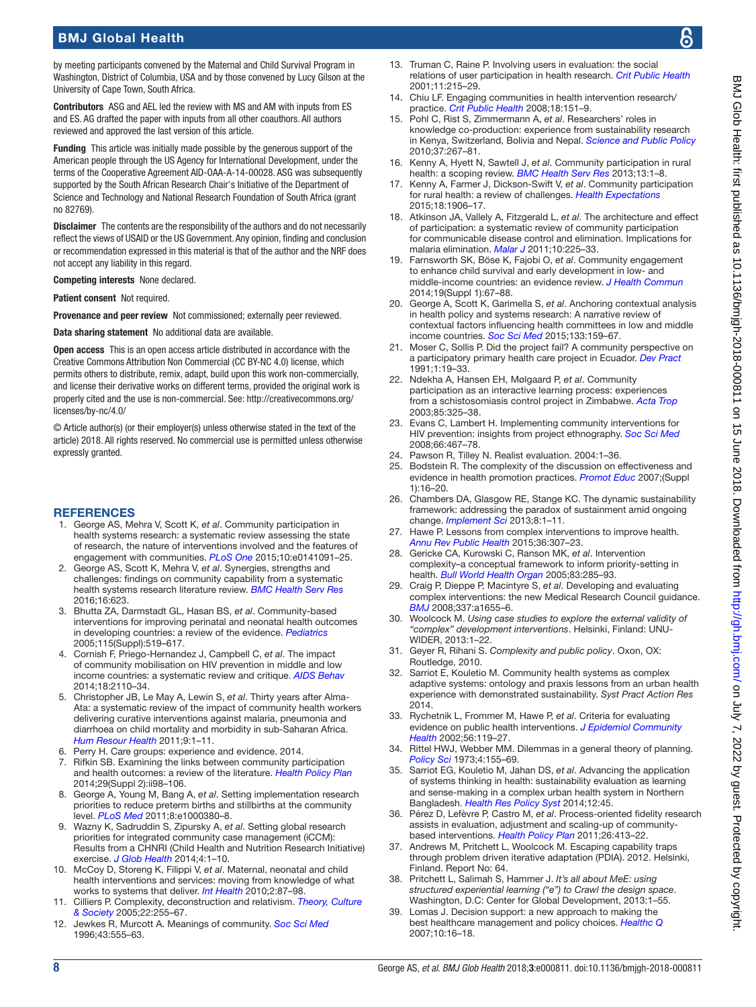### BMJ Global Health

by meeting participants convened by the Maternal and Child Survival Program in Washington, District of Columbia, USA and by those convened by Lucy Gilson at the University of Cape Town, South Africa.

Contributors ASG and AEL led the review with MS and AM with inputs from ES and ES. AG drafted the paper with inputs from all other coauthors. All authors reviewed and approved the last version of this article.

Funding This article was initially made possible by the generous support of the American people through the US Agency for International Development, under the terms of the Cooperative Agreement AID-OAA-A-14-00028. ASG was subsequently supported by the South African Research Chair's Initiative of the Department of Science and Technology and National Research Foundation of South Africa (grant no 82769).

Disclaimer The contents are the responsibility of the authors and do not necessarily reflect the views of USAID or the US Government. Any opinion, finding and conclusion or recommendation expressed in this material is that of the author and the NRF does not accept any liability in this regard.

#### Competing interests None declared.

Patient consent Not required.

Provenance and peer review Not commissioned; externally peer reviewed.

Data sharing statement No additional data are available.

Open access This is an open access article distributed in accordance with the Creative Commons Attribution Non Commercial (CC BY-NC 4.0) license, which permits others to distribute, remix, adapt, build upon this work non-commercially, and license their derivative works on different terms, provided the original work is properly cited and the use is non-commercial. See: [http://creativecommons.org/](http://creativecommons.org/licenses/by-nc/4.0/) [licenses/by-nc/4.0/](http://creativecommons.org/licenses/by-nc/4.0/)

© Article author(s) (or their employer(s) unless otherwise stated in the text of the article) 2018. All rights reserved. No commercial use is permitted unless otherwise expressly granted.

#### **REFERENCES**

- <span id="page-7-0"></span>1. George AS, Mehra V, Scott K, *et al*. Community participation in health systems research: a systematic review assessing the state of research, the nature of interventions involved and the features of engagement with communities. *[PLoS One](http://dx.doi.org/10.1371/journal.pone.0141091)* 2015;10:e0141091–25.
- 2. George AS, Scott K, Mehra V, *et al*. Synergies, strengths and challenges: findings on community capability from a systematic health systems research literature review. *[BMC Health Serv Res](http://dx.doi.org/10.1186/s12913-016-1860-1)* 2016;16:623.
- <span id="page-7-1"></span>3. Bhutta ZA, Darmstadt GL, Hasan BS, *et al*. Community-based interventions for improving perinatal and neonatal health outcomes in developing countries: a review of the evidence. *[Pediatrics](http://dx.doi.org/10.1542/peds.2004-1441)* 2005;115(Suppl):519–617.
- 4. Cornish F, Priego-Hernandez J, Campbell C, *et al*. The impact of community mobilisation on HIV prevention in middle and low income countries: a systematic review and critique. *[AIDS Behav](http://dx.doi.org/10.1007/s10461-014-0748-5)* 2014;18:2110–34.
- 5. Christopher JB, Le May A, Lewin S, *et al*. Thirty years after Alma-Ata: a systematic review of the impact of community health workers delivering curative interventions against malaria, pneumonia and diarrhoea on child mortality and morbidity in sub-Saharan Africa. *[Hum Resour Health](http://dx.doi.org/10.1186/1478-4491-9-27)* 2011;9:1–11.
- 6. Perry H. Care groups: experience and evidence. 2014.
- <span id="page-7-15"></span>7. Rifkin SB. Examining the links between community participation and health outcomes: a review of the literature. *[Health Policy Plan](http://dx.doi.org/10.1093/heapol/czu076)* 2014;29(Suppl 2):ii98–106.
- <span id="page-7-2"></span>8. George A, Young M, Bang A, *et al*. Setting implementation research priorities to reduce preterm births and stillbirths at the community level. *[PLoS Med](http://dx.doi.org/10.1371/journal.pmed.1000380)* 2011;8:e1000380–8.
- <span id="page-7-19"></span>9. Wazny K, Sadruddin S, Zipursky A, *et al*. Setting global research priorities for integrated community case management (iCCM): Results from a CHNRI (Child Health and Nutrition Research Initiative) exercise. *[J Glob Health](http://dx.doi.org/10.7189/jogh.04.020413)* 2014;4:1–10.
- <span id="page-7-3"></span>10. McCoy D, Storeng K, Filippi V, *et al*. Maternal, neonatal and child health interventions and services: moving from knowledge of what works to systems that deliver. *[Int Health](http://dx.doi.org/10.1016/j.inhe.2010.03.005)* 2010;2:87–98.
- <span id="page-7-4"></span>11. Cilliers P. Complexity, deconstruction and relativism. *[Theory, Culture](http://dx.doi.org/10.1177/0263276405058052)  [& Society](http://dx.doi.org/10.1177/0263276405058052)* 2005;22:255–67.
- <span id="page-7-5"></span>12. Jewkes R, Murcott A. Meanings of community. *[Soc Sci Med](http://dx.doi.org/10.1016/0277-9536(95)00439-4)* 1996;43:555–63.
- <span id="page-7-18"></span>Truman C. Raine P. Involving users in evaluation: the social relations of user participation in health research. *[Crit Public Health](http://dx.doi.org/10.1080/09581590110066667)* 2001;11:215–29.
- 14. Chiu LF. Engaging communities in health intervention research/ practice. *[Crit Public Health](http://dx.doi.org/10.1080/09581590701771725)* 2008;18:151–9.
- <span id="page-7-20"></span>15. Pohl C, Rist S, Zimmermann A, *et al*. Researchers' roles in knowledge co-production: experience from sustainability research in Kenya, Switzerland, Bolivia and Nepal. *[Science and Public Policy](http://dx.doi.org/10.3152/030234210X496628)* 2010;37:267–81.
- 16. Kenny A, Hyett N, Sawtell J, *et al*. Community participation in rural health: a scoping review. *[BMC Health Serv Res](http://dx.doi.org/10.1186/1472-6963-13-64)* 2013;13:1–8.
- 17. Kenny A, Farmer J, Dickson-Swift V, *et al*. Community participation for rural health: a review of challenges. *[Health Expectations](http://dx.doi.org/10.1111/hex.12314)* 2015;18:1906–17.
- 18. Atkinson JA, Vallely A, Fitzgerald L, *et al*. The architecture and effect of participation: a systematic review of community participation for communicable disease control and elimination. Implications for malaria elimination. *[Malar J](http://dx.doi.org/10.1186/1475-2875-10-225)* 2011;10:225–33.
- 19. Farnsworth SK, Böse K, Fajobi O, *et al*. Community engagement to enhance child survival and early development in low- and middle-income countries: an evidence review. *[J Health Commun](http://dx.doi.org/10.1080/10810730.2014.941519)* 2014;19(Suppl 1):67–88.
- <span id="page-7-6"></span>20. George A, Scott K, Garimella S, *et al*. Anchoring contextual analysis in health policy and systems research: A narrative review of contextual factors influencing health committees in low and middle income countries. *[Soc Sci Med](http://dx.doi.org/10.1016/j.socscimed.2015.03.049)* 2015;133:159–67.
- <span id="page-7-7"></span>21. Moser C, Sollis P. Did the project fail? A community perspective on a participatory primary health care project in Ecuador. *[Dev Pract](http://dx.doi.org/10.1080/096145249100076021)* 1991;1:19–33.
- 22. Ndekha A, Hansen EH, Mølgaard P, *et al*. Community participation as an interactive learning process: experiences from a schistosomiasis control project in Zimbabwe. *[Acta Trop](http://dx.doi.org/10.1016/S0001-706X(02)00256-5)* 2003;85:325–38.
- <span id="page-7-9"></span>23. Evans C, Lambert H. Implementing community interventions for HIV prevention: insights from project ethnography. *[Soc Sci Med](http://dx.doi.org/10.1016/j.socscimed.2007.08.030)* 2008;66:467–78.
- <span id="page-7-8"></span>Pawson R, Tilley N. Realist evaluation. 2004:1-36.
- 25. Bodstein R. The complexity of the discussion on effectiveness and evidence in health promotion practices. *[Promot Educ](http://dx.doi.org/10.1177/10253823070140010401x)* 2007;(Suppl  $1) \cdot 16 - 20$
- <span id="page-7-12"></span>26. Chambers DA, Glasgow RE, Stange KC. The dynamic sustainability framework: addressing the paradox of sustainment amid ongoing change. *[Implement Sci](http://dx.doi.org/10.1186/1748-5908-8-117)* 2013;8:1–11.
- <span id="page-7-16"></span>27. Hawe P. Lessons from complex interventions to improve health. *[Annu Rev Public Health](http://dx.doi.org/10.1146/annurev-publhealth-031912-114421)* 2015;36:307–23.
- <span id="page-7-10"></span>28. Gericke CA, Kurowski C, Ranson MK, *et al*. Intervention complexity–a conceptual framework to inform priority-setting in health. *[Bull World Health Organ](http://dx.doi.org//S0042-96862005000400013)* 2005;83:285–93.
- 29. Craig P, Dieppe P, Macintyre S, *et al*. Developing and evaluating complex interventions: the new Medical Research Council guidance. *[BMJ](http://dx.doi.org/10.1136/bmj.a1655)* 2008;337:a1655–6.
- <span id="page-7-13"></span>30. Woolcock M. *Using case studies to explore the external validity of "complex" development interventions*. Helsinki, Finland: UNU-WIDER, 2013:1–22.
- <span id="page-7-11"></span>31. Geyer R, Rihani S. *Complexity and public policy*. Oxon, OX: Routledge, 2010.
- 32. Sarriot E, Kouletio M. Community health systems as complex adaptive systems: ontology and praxis lessons from an urban health experience with demonstrated sustainability. *Syst Pract Action Res* 2014.
- 33. Rychetnik L, Frommer M, Hawe P, *et al*. Criteria for evaluating evidence on public health interventions. *[J Epidemiol Community](http://dx.doi.org/10.1136/jech.56.2.119)  [Health](http://dx.doi.org/10.1136/jech.56.2.119)* 2002;56:119–27.
- 34. Rittel HWJ, Webber MM. Dilemmas in a general theory of planning. *[Policy Sci](http://dx.doi.org/10.1007/BF01405730)* 1973;4:155–69.
- <span id="page-7-14"></span>35. Sarriot EG, Kouletio M, Jahan DS, *et al*. Advancing the application of systems thinking in health: sustainability evaluation as learning and sense-making in a complex urban health system in Northern Bangladesh. *[Health Res Policy Syst](http://dx.doi.org/10.1186/1478-4505-12-45)* 2014;12:45.
- 36. Pérez D, Lefèvre P, Castro M, *et al*. Process-oriented fidelity research assists in evaluation, adjustment and scaling-up of communitybased interventions. *[Health Policy Plan](http://dx.doi.org/10.1093/heapol/czq077)* 2011;26:413–22.
- <span id="page-7-17"></span>37. Andrews M, Pritchett L, Woolcock M. Escaping capability traps through problem driven iterative adaptation (PDIA). 2012. Helsinki, Finland. Report No: 64.
- 38. Pritchett L, Salimah S, Hammer J. *It's all about MeE: using structured experiential learning ("e") to Crawl the design space*. Washington, D.C: Center for Global Development, 2013:1–55.
- 39. Lomas J. Decision support: a new approach to making the best healthcare management and policy choices. *[Healthc Q](http://dx.doi.org/10.12927/hcq.18918)* 2007;10:16–18.